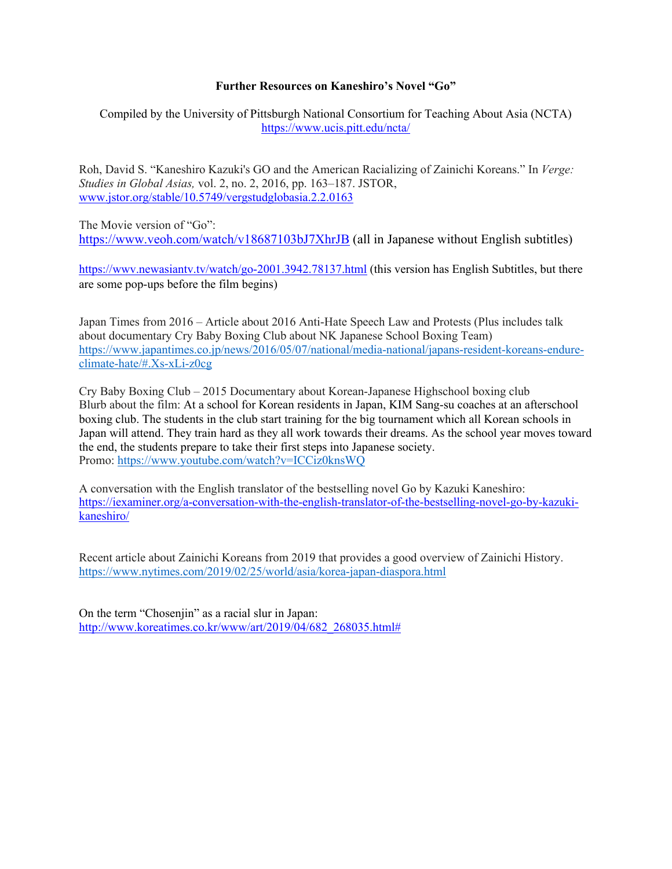## **Further Resources on Kaneshiro's Novel "Go"**

Compiled by the University of Pittsburgh National Consortium for Teaching About Asia (NCTA) <https://www.ucis.pitt.edu/ncta/>

Roh, David S. "Kaneshiro Kazuki's GO and the American Racializing of Zainichi Koreans." In *Verge: Studies in Global Asias,* vol. 2, no. 2, 2016, pp. 163–187. JSTOR, [www.jstor.org/stable/10.5749/vergstudglobasia.2.2.0163](http://www.jstor.org/stable/10.5749/vergstudglobasia.2.2.0163)

The Movie version of "Go": [https://www.veoh.com/watch/v18687103bJ7XhrJB](https://nam05.safelinks.protection.outlook.com/?url=https%3A%2F%2Fwww.veoh.com%2Fwatch%2Fv18687103bJ7XhrJB&data=02%7C01%7Chughespw%40pitt.edu%7C304b04445fb04040d96308d7f37fe1d5%7C9ef9f489e0a04eeb87cc3a526112fd0d%7C1%7C0%7C637245602891480299&sdata=Xp2a3RZtRq0KchKrFSygwps5wzOgqMfNi4QYSRJiHmA%3D&reserved=0) (all in Japanese without English subtitles)

[https://wwv.newasiantv.tv/watch/go-2001.3942.78137.html](https://nam05.safelinks.protection.outlook.com/?url=https%3A%2F%2Fwwv.newasiantv.tv%2Fwatch%2Fgo-2001.3942.78137.html&data=02%7C01%7Chughespw%40pitt.edu%7Cdcdc0d85ee364a07c90508d803b56e9f%7C9ef9f489e0a04eeb87cc3a526112fd0d%7C1%7C0%7C637263425065728595&sdata=VnAJHiMOjd7YjL0pqSpCzGk%2FJoJ11HoSJE%2B%2BA3%2Bi6DQ%3D&reserved=0) (this version has English Subtitles, but there are some pop-ups before the film begins)

Japan Times from 2016 – Article about 2016 Anti-Hate Speech Law and Protests (Plus includes talk about documentary Cry Baby Boxing Club about NK Japanese School Boxing Team) [https://www.japantimes.co.jp/news/2016/05/07/national/media-national/japans-resident-koreans-endure](https://nam05.safelinks.protection.outlook.com/?url=https%3A%2F%2Fwww.japantimes.co.jp%2Fnews%2F2016%2F05%2F07%2Fnational%2Fmedia-national%2Fjapans-resident-koreans-endure-climate-hate%2F%23.Xs-xLi-z0cg&data=02%7C01%7Chughespw%40pitt.edu%7C72b00c5a3b5d4fff13d308d80325c6ae%7C9ef9f489e0a04eeb87cc3a526112fd0d%7C1%7C0%7C637262808060785627&sdata=OOso4lWNRijxYiKVFGtnTxkaymW1CGcQIfC6Rm9T3F0%3D&reserved=0)[climate-hate/#.Xs-xLi-z0cg](https://nam05.safelinks.protection.outlook.com/?url=https%3A%2F%2Fwww.japantimes.co.jp%2Fnews%2F2016%2F05%2F07%2Fnational%2Fmedia-national%2Fjapans-resident-koreans-endure-climate-hate%2F%23.Xs-xLi-z0cg&data=02%7C01%7Chughespw%40pitt.edu%7C72b00c5a3b5d4fff13d308d80325c6ae%7C9ef9f489e0a04eeb87cc3a526112fd0d%7C1%7C0%7C637262808060785627&sdata=OOso4lWNRijxYiKVFGtnTxkaymW1CGcQIfC6Rm9T3F0%3D&reserved=0)

Cry Baby Boxing Club – 2015 Documentary about Korean-Japanese Highschool boxing club Blurb about the film: At a school for Korean residents in Japan, KIM Sang-su coaches at an afterschool boxing club. The students in the club start training for the big tournament which all Korean schools in Japan will attend. They train hard as they all work towards their dreams. As the school year moves toward the end, the students prepare to take their first steps into Japanese society. Promo: [https://www.youtube.com/watch?v=ICCiz0knsWQ](https://nam05.safelinks.protection.outlook.com/?url=https%3A%2F%2Fwww.youtube.com%2Fwatch%3Fv%3DICCiz0knsWQ&data=02%7C01%7Chughespw%40pitt.edu%7C72b00c5a3b5d4fff13d308d80325c6ae%7C9ef9f489e0a04eeb87cc3a526112fd0d%7C1%7C0%7C637262808060795616&sdata=ra3s%2Bms51hxehgQ4Q%2Fg3E4wyU%2BxuRpDzxd490rsfT9Y%3D&reserved=0)

A conversation with the English translator of the bestselling novel Go by Kazuki Kaneshiro: [https://iexaminer.org/a-conversation-with-the-english-translator-of-the-bestselling-novel-go-by-kazuki](https://iexaminer.org/a-conversation-with-the-english-translator-of-the-bestselling-novel-go-by-kazuki-kaneshiro/)[kaneshiro/](https://iexaminer.org/a-conversation-with-the-english-translator-of-the-bestselling-novel-go-by-kazuki-kaneshiro/)

Recent article about Zainichi Koreans from 2019 that provides a good overview of Zainichi History. [https://www.nytimes.com/2019/02/25/world/asia/korea-japan-diaspora.html](https://nam05.safelinks.protection.outlook.com/?url=https%3A%2F%2Fwww.nytimes.com%2F2019%2F02%2F25%2Fworld%2Fasia%2Fkorea-japan-diaspora.html&data=02%7C01%7Chughespw%40pitt.edu%7C72b00c5a3b5d4fff13d308d80325c6ae%7C9ef9f489e0a04eeb87cc3a526112fd0d%7C1%7C0%7C637262808060795616&sdata=ZtABqUXbI6ZGNAJ0QQH8uwqssPg6MngnxI2dQNoUmQI%3D&reserved=0)

On the term "Chosenjin" as a racial slur in Japan: [http://www.koreatimes.co.kr/www/art/2019/04/682\\_268035.html#](http://www.koreatimes.co.kr/www/art/2019/04/682_268035.html)